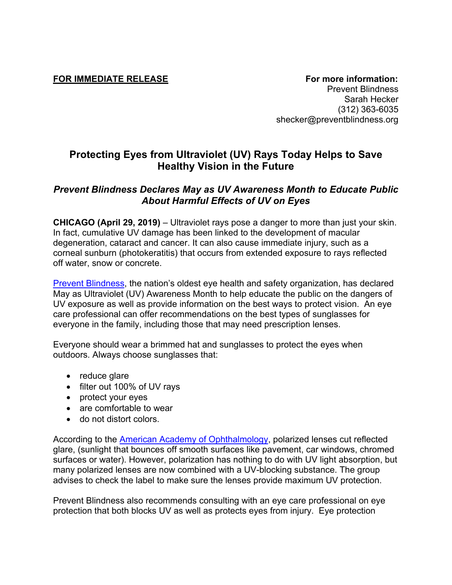**FOR IMMEDIATE RELEASE For more information:** Prevent Blindness Sarah Hecker (312) 363-6035 shecker@preventblindness.org

## **Protecting Eyes from Ultraviolet (UV) Rays Today Helps to Save Healthy Vision in the Future**

## *Prevent Blindness Declares May as UV Awareness Month to Educate Public About Harmful Effects of UV on Eyes*

**CHICAGO (April 29, 2019)** – Ultraviolet rays pose a danger to more than just your skin. In fact, cumulative UV damage has been linked to the development of macular degeneration, cataract and cancer. It can also cause immediate injury, such as a corneal sunburn (photokeratitis) that occurs from extended exposure to rays reflected off water, snow or concrete.

Prevent Blindness, the nation's oldest eye health and safety organization, has declared May as Ultraviolet (UV) Awareness Month to help educate the public on the dangers of UV exposure as well as provide information on the best ways to protect vision. An eye care professional can offer recommendations on the best types of sunglasses for everyone in the family, including those that may need prescription lenses.

Everyone should wear a brimmed hat and sunglasses to protect the eyes when outdoors. Always choose sunglasses that:

- $\bullet$  reduce glare
- filter out 100% of UV rays
- protect your eyes
- are comfortable to wear
- do not distort colors.

According to the American Academy of Ophthalmology, polarized lenses cut reflected glare, (sunlight that bounces off smooth surfaces like pavement, car windows, chromed surfaces or water). However, polarization has nothing to do with UV light absorption, but many polarized lenses are now combined with a UV-blocking substance. The group advises to check the label to make sure the lenses provide maximum UV protection.

Prevent Blindness also recommends consulting with an eye care professional on eye protection that both blocks UV as well as protects eyes from injury. Eye protection